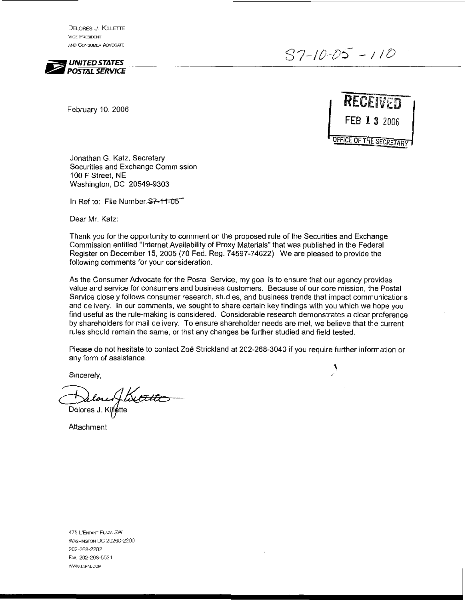DELORES J. KILLETTE **VICE PRESIDENT AND CONSUMER ADVOCATE** 



s7-*/c-05-* - / / 0

 $\mathcal{L}$ 

February 10, 2006



Jonathan G. Katz, Secretary Securities and Exchange Commission 100 F Street, NE Washington, DC 20549-9303

In Ref to: File Number-S7-11-05

Dear Mr. Katz:

Thank you for the opportunity to comment on the proposed rule of the Securities and Exchange Commission entitled "Internet Availability of Proxy Materials" that was published in the Federal Register on December 15,2005 (70 Fed. Reg. 74597-74622). We are pleased to provide the following comments for your consideration.

As the Consumer Advocate for the Postal Service, my goal is to ensure that our agency provides value and service for consumers and business customers. Because of our core mission, the Postal Service closely follows consumer research, studies, and business trends that impact communications and delivery. In our comments, we sought to share certain key findings with you which we hope you find useful as the rule-making is considered. Considerable research demonstrates a clear preference by shareholders for mail delivery. To ensure shareholder needs are met, we believe that the current rules should remain the same, or that any changes be further studied and field tested.

Please do not hesitate to contact Zoe Strickland at 202-268-3040 if you require further information or any form of assistance.

Sincerely,

Delores J. Alette

**Attachment** 

475 L'ENFANT PLAZA SW WASHINGTON DC 20260-2200 202-268-2282 FAX: 202-268-5531 WWW.USPS.COM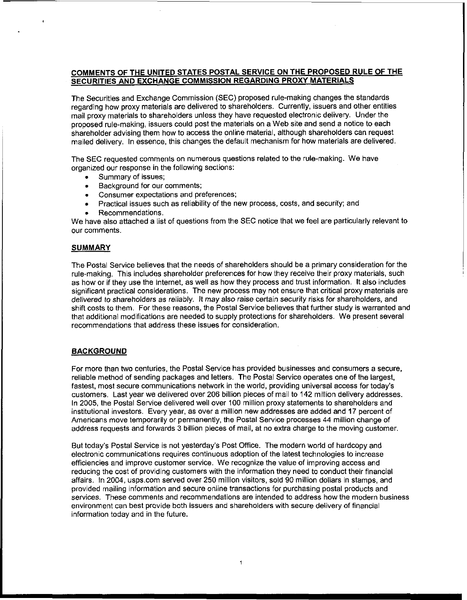# COMMENTS OF THE UNITED STATES POSTAL SERVICE ON THE PROPOSED RULE OF THE SECURITIES AND EXCHANGE COMMISSION REGARDING PROXY MATERIALS

The Securities and Exchange Commission (SEC) proposed rule-making changes the standards regarding how proxy materials are delivered to shareholders. Currently, issuers and other entities mail proxy materials to shareholders unless they have requested electronic delivery. Under the proposed rule-making, issuers could post the materials on a Web site and send a notice to each shareholder advising them how to access the online material, although shareholders can request mailed delivery. In essence, this changes the default mechanism for how materials are delivered.

The SEC requested comments on numerous questions related to the rule-making. We have organized our response in the following sections:

- Summary of issues;
- **.** Summary of issues;<br>**.** Background for our comments;
- Consumer expectations and preferences;
- Practical issues such as reliability of the new process, costs, and security; and
- Recommendations.

We have also attached a list of questions from the SEC notice that we feel are particularly relevant to our comments.

## SUMMARY

 $\bullet$ 

The Postal Service believes that the needs of shareholders should be a primary consideration for the rule-making. This includes shareholder preferences for how they receive their proxy materials, such as how or if they use the Internet, as well as how they process and trust information. It also includes significant practical considerations. The new process may not ensure that critical proxy materials are delivered to shareholders as reliably. It may also raise certain security risks for shareholders, and shifl costs to them. For these reasons, the Postal Service believes that further study is warranted and that additional modifications are needed to supply protections for shareholders. We present several recommendations that address these issues for consideration.

## BACKGROUND

For more than two centuries, the Postal Service has provided businesses and consumers a secure, reliable method of sending packages and letters. The Postal Service operates one of the largest, fastest, most secure communications network in the world, providing universal access for today's customers. Last year we delivered over 206 billion pieces of mail to 142 million delivery addresses. In 2005, the Postal Service deliveredwell over 100 million proxy statements to shareholders and institutional investors. Every year, as over a million new addresses are added and 17 percent of Americans move temporarily or permanently, the Postal Service processes 44 million change of address requests and forwards 3 billion pieces of mail, at no extra charge to the moving customer.

But today's Postal Service is not yesterday's Post Office. The modernworld of hardcopy and electronic communications requires continuous adoption of the latest technologies to increase efficiencies and improve customer service. We recognize the value of improving access and reducing the cost of providing customers with the information they need to conduct their financial affairs. In 2004, usps.com served over 250 million visitors, sold 90 million dollars in stamps, and provided mailing information and secure online transactions for purchasing postal products and services. These comments and recommendations are intended to address how the modern business environment can best provide both issuers and shareholderswith secure delivery of financial information today and in the future.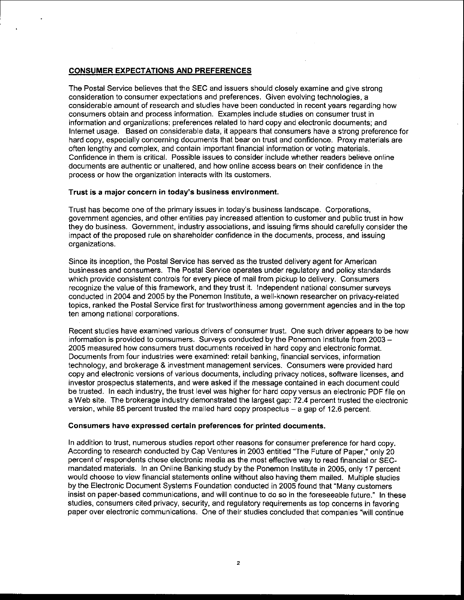## CONSUMER EXPECTATIONS AND PREFERENCES

The Postal Service believes that the SEC and issuers should closely examine and give strong consideration to consumer expectations and preferences. Given evolving technologies, a considerable amount of research and studies have been conducted in recent years regarding how consumers obtain and process information. Examples include studies on consumer trust in information and organizations; preferences related to hard copy and electronic documents; and Internet usage. Based on considerable data, it appears that consumers have a strong preference for hard copy, especially concerning documents that bear on trust and confidence. Proxy materials are often lengthy and complex, and contain important financial information or voting materials. Confidence in them is critical. Possible issues to consider include whether readers believe online documents are authentic or unaltered, and how online access bears on their confidence in the process or how the organization interacts with its customers.

## Trust is a major concern in today's business environment.

Trust has become one of the primary issues in today's business landscape. Corporations, government agencies, and other entities pay increased attention to customer and public trust in how they do business. Government, industry associations, and issuing firms should carefully consider the impact of the proposed rule on shareholder confidence in the documents, process, and issuing organizations.

Since its inception, the Postal Service has served as the trusted delivery agent for American businesses and consumers. The Postal Service operates under regulatory and policy standards which provide consistent controls for every piece of mail from pickup to delivery. Consumers recognize the value of this framework, and they trust it. Independent national consumer surveys conducted in 2004 and 2005 by the Ponemon Institute, a well-known researcher on privacy-related topics, ranked the Postal Service first for trustworthiness among government agencies and in the top ten among national corporations.

Recent studies have examined various drivers of consumer trust. One such driver appears to be how information is provided to consumers. Surveys conducted by the Ponemon Institute from 2003 -<br>2005 measured how consumers trust documents received in hard copy and electronic format. Documents from four industries were examined: retail banking, financial services, information technology, and brokerage & investment management services. Consumers were provided hard copy and electronic versions of various documents, including privacy notices, software licenses, and investor prospectus statements, and were asked if the message contained in each document could be trusted. In each industry, the trust level was higher for hard copy versus an electronic PDF file on a Web site. The brokerage industry demonstrated the largest gap: 72.4 percent trusted the electronic version, while 85 percent trusted the mailed hard copy prospectus  $-$  a gap of 12.6 percent.

#### Consumers have expressed certain preferences for printed documents.

In addition to trust, numerous studies report other reasons for consumer preference for hard copy. According to research conducted by Cap Ventures in 2003 entitled "The Future of Paper," only 20 percent of respondents chose electronic media as the most effective way to read financial or SECmandated materials. In an Online Banking study by the Ponemon lnstitute in 2005, only 17 percent would choose to view financial statements online without also having them mailed. Multiple studies by the Electronic Document Systems Foundation conducted in 2005 found that "Many customers insist on paper-based communications, and will continue to do so in the foreseeable future." In these studies, consumers cited privacy, security, and regulatory requirements as top concerns in favoring paper over electronic communications. One of their studies concluded that companies "will continue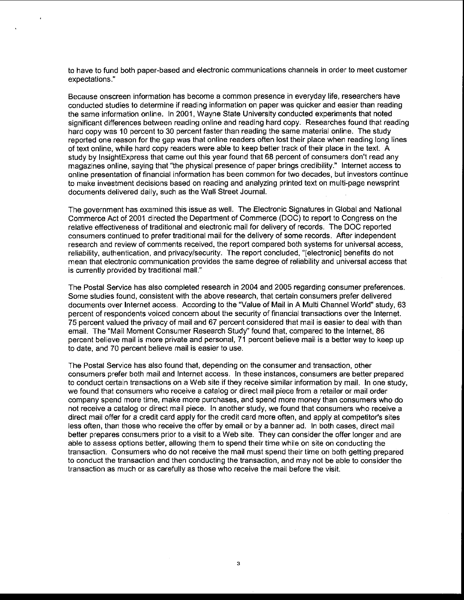to have to fund both paper-based and electronic communications channels in order to meet customer expectations."

Because onscreen information has become a common presence in everyday life, researchers have conducted studies to determine if reading information on paper was quicker and easier than reading the same information online. In 2001, Wayne State University conducted experiments that noted significant differences between reading online and reading hard copy. Researches found that reading hard copy was 10 percent to 30 percent faster than reading the same material online. The study reported one reason for the gap was that online readers often lost their place when reading long lines of text online, while hard copy readers were able to keep better track of their place in the text. A study by InsightExpress that came out this year found that 68 percent of consumers don't read any magazines online, saying that "the physical presence of paper brings credibility.'' lnternet access to online presentation of financial information has been common for two decades, but investors continue to make investment decisions based on reading and analyzing printed text on multi-page newsprint documents delivered daily, such as the Wall Street Journal.

The government has examined this issue as well. The Electronic Signatures in Global and National Commerce Act of 2001 directed the Department of Commerce (DOC) to report to Congress on the relative effectiveness of traditional and electronic mail for delivery of records. The DOC reported consumers continued to prefer traditional mail for the delivery of some records. Afler independent research and review of comments received, the report compared both systems for universal access, reliability, authentication, and privacylsecurity. The report concluded. "[electronic] benefits do not mean that electronic communication provides the same degree of reliability and universal access that is currently provided by traditional mail."

The Postal Service has also completed research in 2004 and 2005 regarding consumer preferences. Some studies found, consistent with the above research, that certain consumers prefer delivered documents over lnternet access. According to the "Value of Mail in A Multi Channel World" study, 63 percent of respondents voiced concern about the security of financial transactions over the lnternet. 75 percent valued the privacy of mail and 67 percent considered that mail is easier to deal with than email. The "Mail Moment Consumer Research Study" found that, compared to the lnternet. 86 percent believe mail is more private and personal, 71 percent believe mail is a better way to keep up to date, and 70 percent believe mail is easier to use.

The Postal Service has also found that, depending on the consumer and transaction, other consumers prefer both mail and lnternet access. In these instances, consumers are better prepared to conduct certain transactions on a Web site if they receive similar information by mail. In one study, we found that consumers who receive a catalog or direct mail piece from a retailer or mail order company spend more time, make more purchases, and spend more money than consumers who do not receive a catalog or direct mail piece. In another study, we found that consumers who receive a direct mail offer for a credit card apply for the credit card more often, and apply at competitor's sites less often, than those who receive the offer by email or by a banner ad. In both cases, direct mail better prepares consumers prior to a visit to a Web site. They can consider the offer longer and are able to assess options better, allowing them to spend their time while on site on conducting the transaction. Consumers who do not receive the mail must spend their time on both getting prepared to conduct the transaction and then conducting the transaction, and may not be able to consider the transaction as much or as carefully as those who receive the mail before the visit.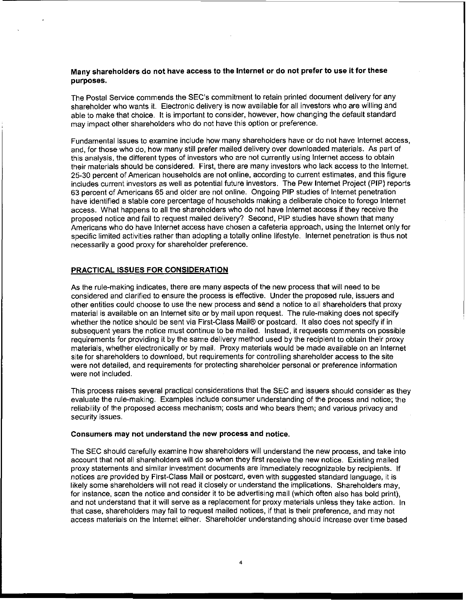## Many shareholders do not have access to the lnternet or do not prefer to use it for these purposes.

The Postal Service commends the SEC's commitment to retain printed document delivery for any shareholder who wants it. Electronic delivery is now available for all investors who are willing and able to make that choice. It is important to consider, however, how changing the default standard may impact other shareholders who do not have this option or preference.

Fundamental issues to examine include how many shareholders have or do not have lnternet access, and, for those who do, how many still prefer mailed delivery over downloaded materials. **As** part of this analysis, the different types of investors who are not currently using lnternet access to obtain their materials should be considered. First, there are many investors who lack access to the lnternet. 25-30 percent of American households are not online, according to current estimates, and this figure includes current investors as well as potential future investors. The Pew lnternet Project (PIP) reports 63 percent of Americans 65 and older are not online. Ongoing PIP studies of lnternet penetration have identified a stable core percentage of households making a deliberate choice to forego lnternet access. What happens to all the shareholders who do not have lnternet access if they receive the proposed notice and fail to request mailed delivery? Second, PIP studies have shown that many Americans who do have lnternet access have chosen a cafeteria approach, using the lnternet only for specific limited activities rather than adopting a totally online lifestyle. lnternet penetration is thus not necessarily a good proxy for shareholder preference.

## PRACTICAL ISSUES FOR CONSIDERATION

As the rule-making indicates, there are many aspects of the new process that will need to be considered and clarified to ensure the process is effective. Under the proposed rule, issuers and other entities could choose to use the new process and send a notice to all shareholders that proxy material is available on an lnternet site or by mail upon request. The rule-making does not specify whether the notice should be sent via First-Class Mail® or postcard. It also does not specify if in subsequent years the notice must continue to be mailed. Instead, it requests comments on possible requirements for providing it by the same delivery method used by the recipient to obtain their proxy materials, whether electronically or by mail. Proxy materials would be made available on an lnternet site for shareholders to download, but requirements for controlling shareholder access to the site were not detailed, and requirements for protecting shareholder personal or preference information were not included.

This process raises several practical considerations that the SEC and issuers should consider as they evaluate the rule-making. Examples include consumer understanding of the process and notice; the reliability of the proposed access mechanism; costs and who bears them; and various privacy and security issues.

#### Consumers may not understand the new process and notice.

The SEC should carefully examine how shareholders will understand the new process, and take into account that not all shareholders will do so when they first receive the new notice. Existing mailed proxy statements and similar investment documents are immediately recognizable by recipients. If notices are provided by First-Class Mail or postcard, even with suggested standard language, it is likely some shareholders will not read it closely or understand the implications. Shareholders may, for instance, scan the notice and consider it to be advertising mail (which often also has bold print), and not understand that it will serve as a replacement for proxy materials unless they take action. In that case, shareholders may fail to request mailed notices, if that is their preference, and may not access materials on the lnternet either. Shareholder understanding should increase over time based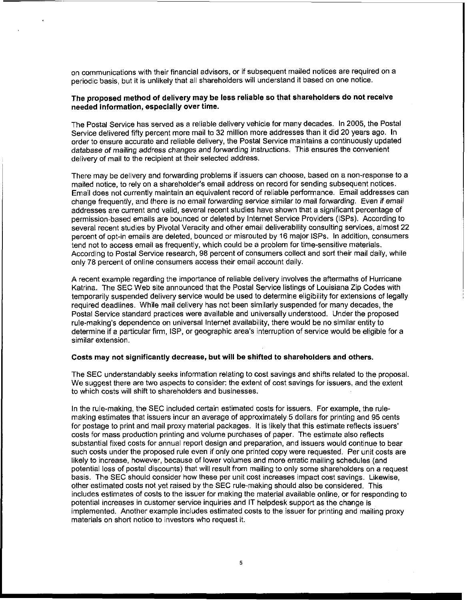on communications with their financial advisors, or if subsequent mailed notices are required on a periodic basis, but it is unlikely that all shareholders will understand it based on one notice.

## The proposed method of delivery may be less reliable so that shareholders do not receive needed information, especially over time.

The Postal Service has served as a reliable delivery vehicle for many decades. In 2005, the Postal Service delivered fifty percent more mail to 32 million more addresses than it did 20 years ago. In order to ensure accurate and reliable delivery, the Postal Service maintains a continuously updated database of mailing address changes and forwarding instructions. This ensures the convenient delivery of mail to the recipient at their selected address.

There may be delivery and forwarding problems if issuers can choose, based on a non-response to a mailed notice, to rely on a shareholder's email address on record for sending subsequent notices. Email does not currently maintain an equivalent record of reliable performance. Email addresses can change frequently, and there is no email forwarding service similar to mail forwarding. Even if emaii addresses are current and valid, several recent studies have shown that a significant percentage of permission-based emails are bounced or deleted by lnternet Service Providers (ISPs). According to several recent studies by Pivotal Veracity and other email deliverability consulting services, almost 22 percent of opt-in emails are deleted, bounced or misrouted by 16 major ISPs. In addition, consumers tend not to access email as frequently, which could be a problem for time-sensitive materials. According to Postal Service research, 98 percent of consumers collect and sort their mail daily, while only 78 percent of online consumers access their email account daily.

A recent example regarding the importance of reliable delivery involves the aftermaths of Hurricane Katrina. The SEC Web site announced that the Postal Service listings of Louisiana Zip Codes with temporarily suspended delivery service would be used to determine eligibility for extensions of legally required deadlines. While mail delivery has not been similarly suspended for many decades, the Postal Service standard practices were available and universally understood. Under the proposed rule-making's dependence on universal lnternet availability, there would be no similar entity to determine if a particular firm, ISP, or geographic area's interruption of service would be eligible for a similar extension.

#### Costs may not significantly decrease, but will be shifted to shareholders and others.

The SEC understandably seeks information relating to cost savings and shifts related to the proposal. We suggest there are two aspects to consider: the extent of cost savings for issuers, and the extent to which costs will shift to shareholders and businesses.

In the rule-making, the SEC included certain estimated costs for issuers. For example, the rulemaking estimates that issuers incur an average of approximately 5 dollars for printing and 95 cents for postage to print and mail proxy material packages. It is likely that this estimate reflects issuers' costs for mass production printing and volume purchases of paper. The estimate also reflects substantial fixed costs for annual report design and preparation, and issuers would continue to bear such costs under the proposed rule even if only one printed copy were requested. Per unit costs are likely to increase, however, because of lower volumes and more erratic mailing schedules (and potential loss of postal discounts) that will result from mailing to only some shareholders on a request basis. The SEC should consider how these per unit cost increases impact cost savings. Likewise, other estimated costs not yet raised by the SEC rule-making should also be considered. This includes estimates of costs to the issuer for making the material available online, or for responding to potential increases in customer service inquiries and IT helpdesk support as the change is implemented. Another example includes estimated costs to the issuer for printing and mailing proxy materials on short notice to investors who request it.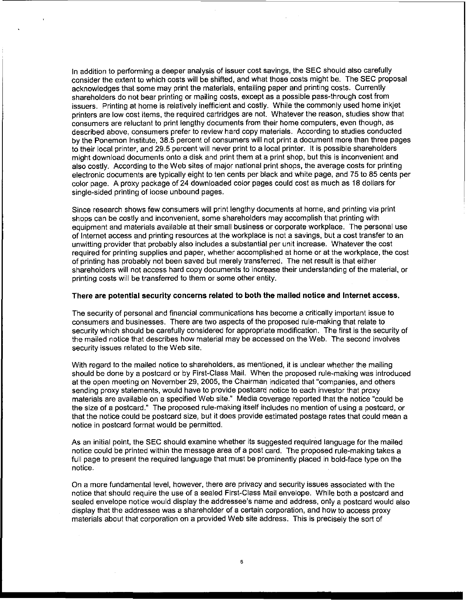In addition to performing a deeper analysis of issuer cost savings, the SEC should also carefully consider the extent to which costs will be shifted, and what those costs might be. The SEC proposal acknowledges that some may print the materials, entailing paper and printing costs. Currently shareholders do not bear printing or mailing costs, except as a possible pass-through cost from issuers. Printing at home is relatively inefficient and costly. While the commonly used home inkjet printers are low cost items, the required cartridges are not. Whatever the reason, studies show that consumers are reluctant to print lengthy documents from their home computers, even though, as described above, consumers prefer to review hard copy materials. According to studies conducted by the Ponemon Institute, 38.5 percent of consumers will not print a document more than three pages to their local printer, and 29.5 percent will never print to a local printer. It is possible shareholders might download documents onto a disk and print them at a print shop, but this is inconvenient and also costly. According to the Web sites of major national print shops, the average costs for printing electronic documents are typically eight to ten cents per black and white page, and 75 to 85 cents per color page. A proxy package of 24 downloaded color pages could cost as much as 18 dollars for single-sided printing of loose unbound pages.

Since research shows few consumers will print lengthy documents at home, and printing via print shops can be costly and inconvenient, some shareholders may accomplish that printing with equipment and materials available at their small business or corporate workplace. The personal use of lnternet access and printing resources at the workplace is not a savings, but a cost transfer to an unwitting provider that probably also includes a substantial per unit increase. Whatever the cost required for printing supplies and paper, whether accomplished at home or at the workplace, the cost of printing has probably not been saved but merely transferred. The net result is that either shareholders will not access hard copy documents to increase their understanding of the material, or printing costs will be transferred to them or some other entity.

#### **There are potential security concerns related to both the mailed notice and Internet access.**

The security of personal and financial communications has become a critically important issue to consumers and businesses. There are two aspects of the proposed rule-making that relate to security which should be carefully considered for appropriate modification. The first is the security of the mailed notice that describes how material may be accessed on the Web. The second involves security issues related to the Web site.

With regard to the mailed notice to shareholders, as mentioned, it is unclear whether the mailing should be done by a postcard or by First-Class Mail. When the proposed rule-making was introduced at the open meeting on November 29, 2005, the Chairman indicated that "companies, and others sending proxy statements, would have to provide postcard notice to each investor that proxy materials are available on a specified Web site." Media coverage reported that the notice "could be the size of a postcard." The proposed rule-making itself includes no mention of using a postcard, or that the notice could be postcard size, but it does provide estimated postage rates that could mean a notice in postcard format would be permitted.

As an initial point, the SEC should examine whether its suggested required language for the mailed notice could be printed within the message area of a post card. The proposed rule-making takes a full page to present the required language that must be prominently placed in bold-face type on the notice.

On a more fundamental level, however, there are privacy and security issues associated with the notice that should require the use of a sealed First-Class Mail envelope. While both a postcard and sealed envelope notice would display the addressee's name and address, only a postcard would also display that the addressee was a shareholder of a certain corporation, and how to access proxy materials about that corporation on a provided Web site address. This is precisely the sort of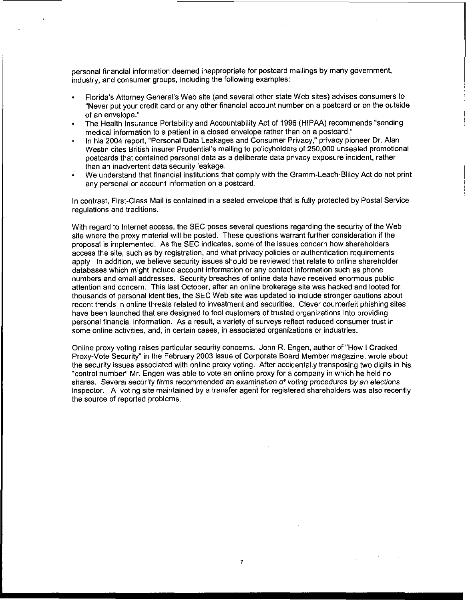personal financial information deemed inappropriate for postcard mailings by many government, industry, and consumer groups, including the following examples:

- . Florida's Attorney General's Web site (and several other state Web sites) advises consumers to "Never put your credit card or any other financial account number on a postcard or on the outside of an envelope."
- The Health Insurance Portability and Accountability Act of 1996 (HIPAA) recommends "sending medical information to a patient in a closed envelope rather than on a postcard." ä
- $\cdot$  In his 2004 report, "Personal Data Leakages and Consumer Privacy," privacy pioneer Dr. Alan Westin cites British insurer Prudential's mailing to policyholders of 250,000 unsealed promotional postcards that contained personal data as a deliberate data privacy exposure incident, rather than an inadvertent data security leakage.
- We understand that financial institutions that comply with the Gramm-Leach-Bliley Act do not print any personal or account information on a postcard.

In contrast, First-class Mail is contained in a sealed envelope that is fully protected by Postal Service regulations and traditions.

With regard to Internet access, the SEC poses several questions regarding the security of the Web site where the proxy material will be posted. These questions warrant further consideration if the proposal is implemented. As the SEC indicates, some of the issues concern how shareholders access the site, such as by registration, and what privacy policies or authentication requirements apply. In addition, we believe security issues should be reviewed that relate to online shareholder databases which might include account informationor any contact information such as phone numbers and email addresses. Security breaches of online data have received enormous public attention and concern. This last October, afler an online brokerage site was hacked and looted for thousands of personal identities, the SEC Web site was updated to include stronger cautions about recent trends in online threats related to investment and securities. Clever counterfeit phishing sites have been launched that are designed to fool customers of trusted organizations into providing personal financial information. As a result, a variety of surveys reflect reduced consumer trust in some online activities, and, in certain cases, in associated organizations or industries.

Online proxy voting raises particular security concerns. John R. Engen, author of "How ICracked Proxy-Vote Security" in the February 2003 issue of Corporate Board Member magazine, wrote about the security issues associated with online proxy voting. After accidentally transposing two digits in his. "control number" Mr. Engen was able to vote an online proxy for a company in which he held no shares. Several security firms recommended an examination of voting procedures by an elections inspector. A voting site maintained by a transfer agent for registered shareholders was also recently the source of reported problems.

 $\overline{7}$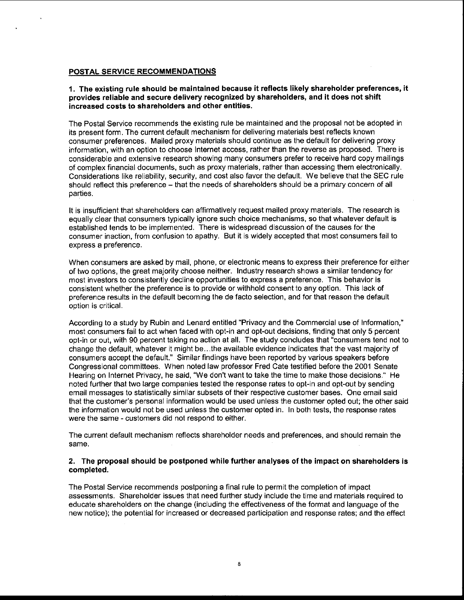## POSTAL SERVICE RECOMMENDATIONS

**1.** The existing rule should be maintained because it reflects likely shareholder preferences, it provides reliable and secure delivery recognized by shareholders, and it does not shift increased costs to shareholders and other entities.

The Postal Service recommends the existing rule be maintained and the proposal not be adopted in its present form. The current default mechanism for delivering materials best reflects known consumer preferences. Mailed proxy materials should continue as the default for delivering proxy information, with an option to choose lnternet access, rather than the reverse as proposed. There is considerable and extensive research showing many consumers prefer to receive hard copy mailings of complex financial documents, such as proxy materials, rather than accessing them electronically. Considerations like reliability, security, and cost also favor the default. We believe that the SEC rule should reflect this preference - that the needs of shareholders should be a primary concern of all parties.

It is insufficient that shareholders can affirmatively request mailed proxy materials. The research is equally clear that consumers typically ignore such choice mechanisms, so that whatever default is established tends to be implemented. There is widespread discussion of the causes for the consumer inaction, from confusion to apathy. But it is widely accepted that most consumers fail to express a preference.

When consumers are asked by mail, phone, or electronic means to express their preference for either of two options, the great majority choose neither. Industry research shows a similar tendency for most investors to consistently decline opportunities to express a preference. This behavior is consistent whether the preference is to provide or withhold consent to any option. This lack of preference results in the default becoming the de facto selection, and for that reason the default option is critical

According to a study by Rubin and Lenard entitled "Privacy and the Commercial use of Information," most consumers fail to act when faced with opt-in and opt-out decisions, finding that only 5 percent opt-in or out, with 90 percent taking no action at all. The study concludes that "consumers tend not to change the default, whatever it might be ...the available evidence indicates that the vast majority of consumers accept the default." Similar findings have been reported by various speakers before Congressional committees. When noted law professor Fred Cate testified before the 2001 Senate Hearing on lnternet Privacy, he said, "We don't want to take the time to make those decisions." He noted further that two large companies tested the response rates to opt-in and opt-out by sending email messages to statistically similar subsets of their respective customer bases. One email said that the customer's personal information would be used unless the customer opted out; the other said the information would not be used unless the customer opted in. In both tests, the response rates were the same - customers did not respond to either.

The current default mechanism reflects shareholder needs and preferences, and should remain the same.

## **2.** The proposal should be postponed while further analyses of the impact on shareholders is completed.

The Postal Service recommends postponing a final rule to permit the completion of impact assessments. Shareholder issues that need further study include the time and materials required to educate shareholders on the change (including the effectiveness of the format and language of the new notice); the potential for increased or decreased participation and response rates; and the effect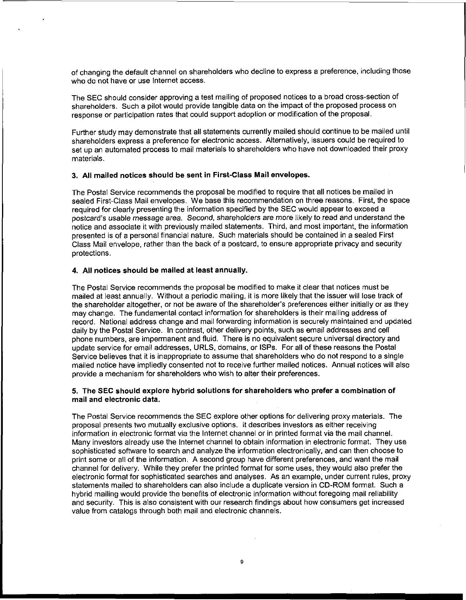of changing the default channel on shareholders who decline to express a preference, including those who do not have or use lnternet access.

The SEC should consider approving a test mailing of proposed notices to a broad cross-section of shareholders. Such a pilot would provide tangible data on the impact of the proposed process on response or participation rates that could support adoption or modification of the proposal.

Further study may demonstrate that all statements currently mailed should continue to be mailed until shareholders express a preference for electronic access. Alternatively, issuers could be required to set up an automated process to mail materials to shareholders who have not downloaded their proxy materials.

## 3. All mailed notices should be sent in First-Class Mail envelopes.

The Postal Service recommends the proposal be modified to require that all notices be mailed in sealed First-Class Mail envelopes. We base this recommendation on three reasons. First, the space required for clearly presenting the information specified by the SEC would appear to exceed a postcard's usable message area. Second, shareholders are more likely to read and understand the notice and associate it with previously mailed statements. Third, and most important, the information presented is of a personal financial nature. Such materials should be contained in a sealed First Class Mail envelope, rather than the back of a postcard, to ensure appropriate privacy and security protections.

## **4.** All notices should be mailed at least annually.

The Postal Service recommends the proposal be modified to make it clear that notices must be mailed at least annually. Without a periodic mailing, it is more likely that the issuer will lose track of the shareholder altogether, or not be aware of the shareholder's preferences either initially or as they may change. The fundamental contact information for shareholders is their mailing address of record. National address change and mail forwarding information is securely maintained and updated daily by the Postal Service. In contrast, other delivery points, such as email addresses and cell phone numbers, are impermanent and fluid. There is no equivalent secure universal directory and update service for email addresses, URLS, domains, or ISPs. For all of these reasons the Postal Service believes that it is inappropriate to assume that shareholders who do not respond to a single mailed notice have impliedly consented not to receive further mailed notices. Annual notices will also provide a mechanism for shareholders who wish to alter their preferences.

## **5.** The **SEC** should explore hybrid solutions for shareholders who prefer a combination of mail and electronic data.

The Postal Sewice recommends the SEC explore other options for delivering proxy materials. The proposal presents two mutually exclusive options. It describes investors as either receiving information in electronic format via the lnternet channel or in printed format via the mail channel. Many investors already use the lnternet channel to obtain information in electronic format. They use sophisticated software to search and analyze the information electronically, and can then choose to print some or all of the information. A second group have different preferences, and want the mail channel for delivery. While they prefer the printed format for some uses, they would also prefer the electronic format for sophisticated searches and analyses. As an example, under current rules, proxy statements mailed to shareholders can also include a duplicate version in CD-ROM format. Such a hybrid mailing would provide the benefits of electronic information without foregoing mail reliability and security. This is also consistent with our research findings about how consumers get increased value from catalogs through both mail and electronic channels.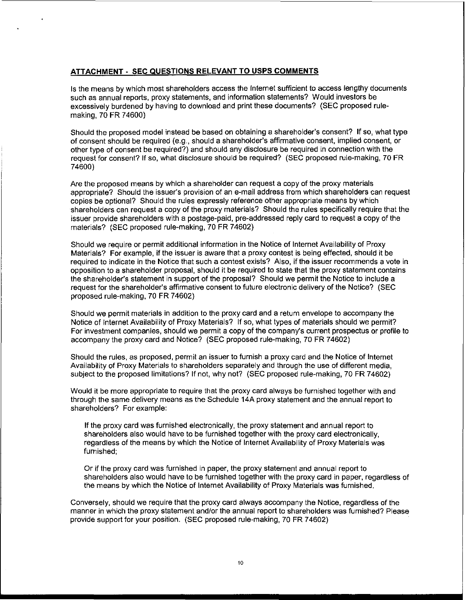## ATTACHMENT - SEC QUESTIONS RELEVANT TO USPS COMMENTS

Is the means by which most shareholders access the lnternet sufficient to access lengthy documents such as annual reports, proxy statements, and information statements? Would investors be excessively burdened by having to download and print these documents? (SEC proposed rulemaking, 70 FR 74600)

Should the proposed model instead be based on obtaining a shareholder's consent? If so, what type of consent should be required (e.g., should a shareholder's affirmative consent, implied consent, or other type of consent be required?) and should any disclosure be required in connection with the request for consent? If so, what disclosure should be required? (SEC proposed rule-making, 70 FR 74600)

Are the proposed means by which a shareholder can request a copy of the proxy materials appropriate? Should the issuer's provision of an e-mail address from which shareholders can request copies be optional? Should the rules expressly reference other appropriate means by which shareholders can request a copy of the proxy materials? Should the rules specifically require that the issuer provide shareholders with a postage-paid, pre-addressed reply card to request a copy of the materials? (SEC proposed rule-making. 70 FR 74602)

Should we require or permit additional information in the Notice of Internet Availability of Proxy Materials? For example, if the issuer is aware that a proxy contest is being effected, should it be required to indicate in the Notice that such a contest exists? Also, if the issuer recommends a vote in opposition to a shareholder proposal, should it be required to state that the proxy statement contains the shareholder's statement in support of the proposal? Should we permit the Notice to include a request for the shareholder's affirmative consent to future electronic delivery of the Notice? (SEC proposed rule-making, 70 FR 74602)

Should we permit materials in addition to the proxy card and a return envelope to accompany the Notice of lnternet Availability of Proxy Materials? If so, what types of materials should we permit? For investment companies, should we permit a copy of the company's current prospectus or profile to accompany the proxy card and Notice? (SEC proposed rule-making, 70 FR 74602)

Should the rules, as proposed, permit an issuer to furnish a proxy card and the Notice of lnternet Availability of Proxy Materials to shareholders separately and through the use of different media, subject to the proposed limitations? If not, why not? (SEC proposed rule-making, 70 FR 74602)

Would it be more appropriate to require that the proxy card always be furnished together with and through the same delivery means as the Schedule **14A** proxy statement and the annual report to shareholders? For example:

If the proxy card was furnished electronically, the proxy statement and annual report to shareholders also would have to be furnished together with the proxy card electronically, regardless of the means by which the Notice of lnternet Availability of Proxy Materials was furnished;

Or if the proxy card was furnished in paper, the proxy statement and annual report to shareholders also would have to be furnished together with the proxy card in paper, regardless of the means by which the Notice of lnternet Availability of Proxy Materials was furnished.

Conversely, should we require that the proxy card always accompany the Notice, regardless of the manner in which the proxy statement and/or the annual report to shareholders was furnished? Please provide support for your position. (SEC proposed rule-making, 70 FR 74602)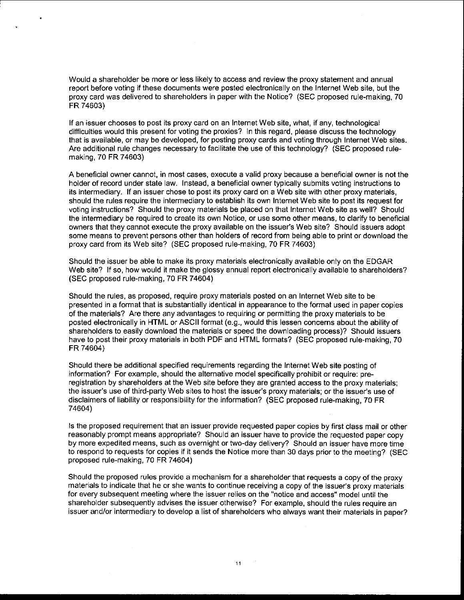Would a shareholder be more or less likely to access and review the proxy statement and annual report before voting if these documents were posted electronically on the lnternet Web site, but the proxy card was delivered to shareholders in paper with the Notice? (SEC proposed rule-making, 70 FR 74603)

If an issuer chooses to post its proxy card on an lnternet Web site, what, if any, technological difficulties would this present for voting the proxies? In this regard, please discuss the technology that is available, or may be developed, for posting proxy cards and voting through lnternet Web sites. Are additional rule changes necessary to facilitate the use of this technology? (SEC proposed rulemaking, 70 FR 74603)

A beneficial owner cannot, in most cases, execute a valid proxy because a beneficial owner is not the holder of record under state law. Instead, a beneficial owner typically submits voting instructions to its intermediary. If an issuer chose to post its proxy card on a Web site with other proxy materials, should the rules require the intermediary to establish its own lnternet Web site to post its request for voting instructions? Should the proxy materials be placed on that lnternet Web site as well? Should the intermediary be required to create its own Notice, or use some other means, to clarify to beneficial owners that they cannot execute the proxy available on the issuer's Web site? Should issuers adopt some means to prevent persons other than holders of record from being able to print or download the proxy card from its Web site? (SEC proposed rule-making, 70 FR 74603)

Should the issuer be able to make its proxy materials electronically available only on the EDGAR Web site? If so, how would it make the glossy annual report electronically available to shareholders? (SEC proposed rule-making, 70 FR 74604)

Should the rules, as proposed, require proxy materials posted on an lnternet Web site to be presented in a format that is substantially identical in appearance to the format used in paper copies of the materials? Are there any advantages to requiring or permitting the proxy materials to be posted electronically in HTML or ASCII format (e.g., would this lessen concerns about the ability of shareholders to easily download the materials or speed the downloading process)? Should issuers have to post their proxy materials in both PDF and HTML formats? (SEC proposed rule-making, 70 FR 74604)

Should there be additional specified requirements regarding the lnternet Web site posting of information? For example, should the alternative model specifically prohibit or require: preregistration by shareholders at the Web site before they are granted access to the proxy materials; the issuer's use of third-party Web sites to host the issuer's proxy materials; or the issuer's use of disclaimers of liability or responsibility for the information? (SEC proposed rule-making, 70 FR 74604)

Is the proposed requirement that an issuer provide requested paper copies by first class mail or other reasonably prompt means appropriate? Should an issuer have to provide the requested paper copy by more expedited means, such as overnight or two-day delivery? Should an issuer have more time to respond to requests for copies if it sends the Notice more than 30 days prior to the meeting? (SEC proposed rule-making, 70 FR 74604)

Should the proposed rules provide a mechanism for a shareholder that requests a copy of the proxy materials to indicate that he or she wants to continue receiving a copy of the issuer's proxy materials for every subsequent meeting where the issuer relies on the "notice and access" model until the shareholder subsequently advises the issuer otherwise? For example, should the rules require an issuer andlor intermediary to develop a list of shareholders who always want their materials in paper?